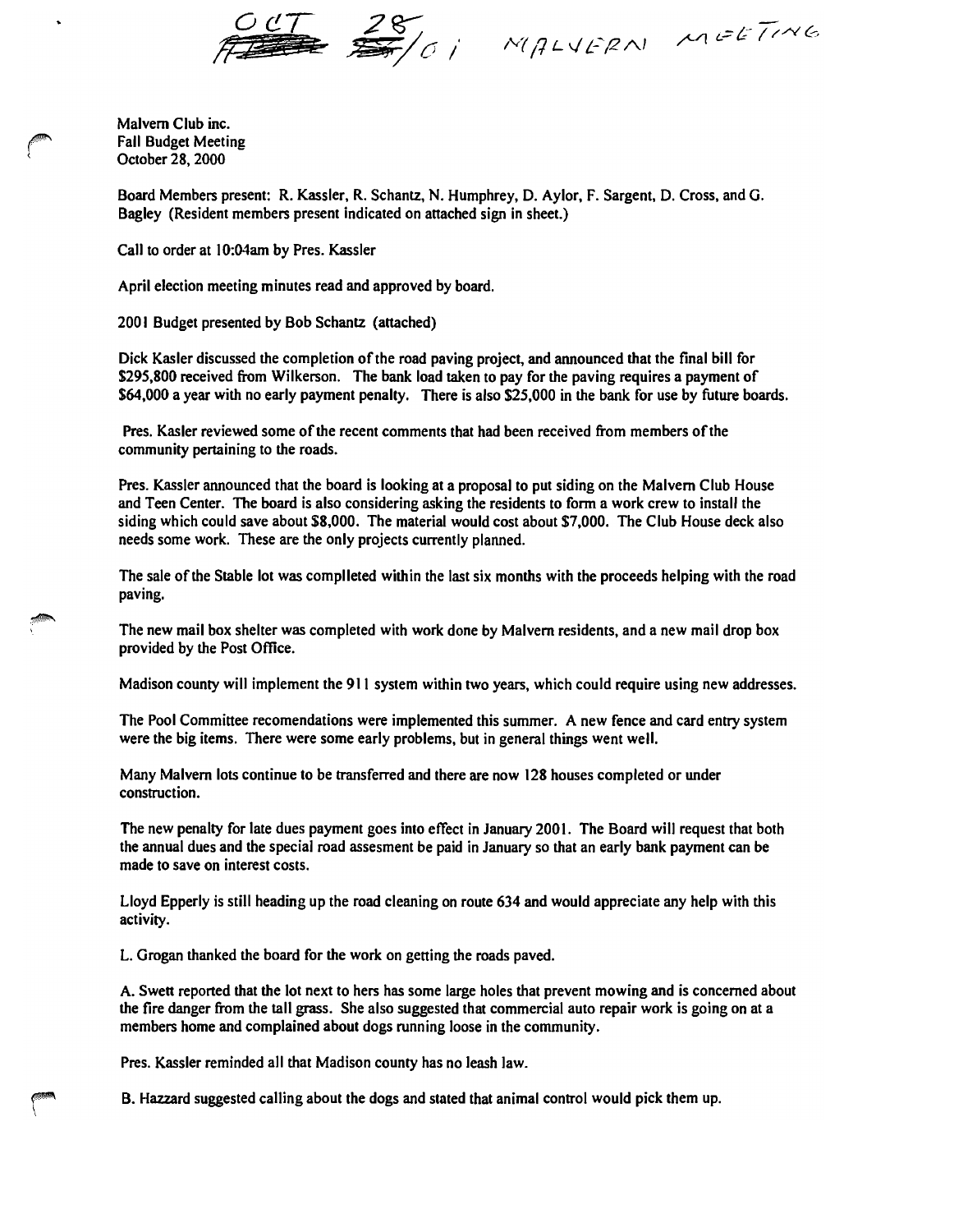$\frac{CCT}{CCT}$   $\frac{28}{27}/C$ ; MALVERN MEETING

Malvern Club inc. Fall Budget Meeting October 28, 2000

Board Members present: R. Kassler, R. Schantz, N. Humphrey, D. Aylor, F. Sargent, D. Cross, and G. Bagley (Resident members present indicated on attached sign in sheet.)

Call to order at 1O:04am by Pres. Kassler

April election meeting minutes read and approved by board.

2001 Budget presented by Bob Schantz (attached)

Dick Kasler discussed the completion of the road paving project, and announced that the final bill for \$295,800 received from Wilkerson. The bank load taken to pay for the paving requires a payment of \$64,000 a year with no early payment penalty. There is also \$25,000 in the bank for use by future boards.

Pres. Kasler reviewed some of the recent comments that had been received from members of the community pertaining to the roads.

Pres. Kassler announced that the board is looking at a proposal to put siding on the Malvern Club House and Teen Center. The board is also considering asking the residents to fonn a work crew to install the siding which could save about \$8,000. The material would cost about \$7,000. The Club House deck also needs some work. These are the only projects currently planned.

The sale of the Stable lot was complieted within the last six months with the proceeds helping with the road paving.

The new mail box shelter was completed with work done by Malvern residents, and a new mail drop box provided by the Post Office.

Madison county will implement the 911 system within two years, which could require using new addresses.

The Pool Committee recomendations were implemented this summer. A new fence and card entry system were the big items. There were some early problems, but in general things went well.

Many Malvern lots continue to be transferred and there are now 128 houses completed or under construction.

The new penalty for late dues payment goes into effect in January 2001. The Board will request that both the annual dues and the special road assesment be paid in January so that an early bank payment can be made to save on interest costs.

Lloyd Epperly is still heading up the road cleaning on route 634 and would appreciate any help with this activity.

L. Grogan thanked the board for the work on getting the roads paved.

A. Swett reported that the lot next to hers has some large holes that prevent mowing and is concerned about the fire danger from the tall grass. She also suggested that commercial auto repair work is going on at a members home and complained about dogs running loose in the community.

Pres. Kassler reminded all that Madison county has no leash law.

B. Hazzard suggested calling about the dogs and stated that animal control would pick them up. \